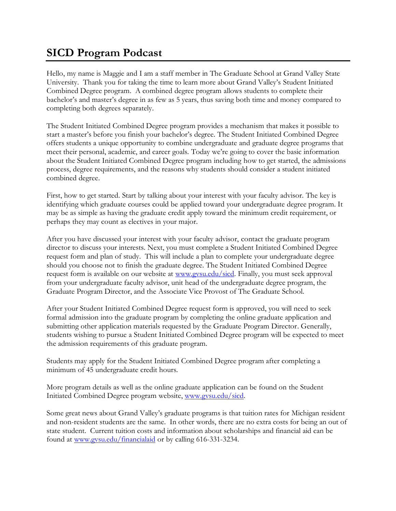## **SICD Program Podcast**

Hello, my name is Maggie and I am a staff member in The Graduate School at Grand Valley State University. Thank you for taking the time to learn more about Grand Valley's Student Initiated Combined Degree program. A combined degree program allows students to complete their bachelor's and master's degree in as few as 5 years, thus saving both time and money compared to completing both degrees separately.

The Student Initiated Combined Degree program provides a mechanism that makes it possible to start a master's before you finish your bachelor's degree. The Student Initiated Combined Degree offers students a unique opportunity to combine undergraduate and graduate degree programs that meet their personal, academic, and career goals. Today we're going to cover the basic information about the Student Initiated Combined Degree program including how to get started, the admissions process, degree requirements, and the reasons why students should consider a student initiated combined degree.

First, how to get started. Start by talking about your interest with your faculty advisor. The key is identifying which graduate courses could be applied toward your undergraduate degree program. It may be as simple as having the graduate credit apply toward the minimum credit requirement, or perhaps they may count as electives in your major.

After you have discussed your interest with your faculty advisor, contact the graduate program director to discuss your interests. Next, you must complete a Student Initiated Combined Degree request form and plan of study. This will include a plan to complete your undergraduate degree should you choose not to finish the graduate degree. The Student Initiated Combined Degree request form is available on our website at [www.gvsu.edu/sicd.](http://www.gvsu.edu/sicd) Finally, you must seek approval from your undergraduate faculty advisor, unit head of the undergraduate degree program, the Graduate Program Director, and the Associate Vice Provost of The Graduate School.

After your Student Initiated Combined Degree request form is approved, you will need to seek formal admission into the graduate program by completing the online graduate application and submitting other application materials requested by the Graduate Program Director. Generally, students wishing to pursue a Student Initiated Combined Degree program will be expected to meet the admission requirements of this graduate program.

Students may apply for the Student Initiated Combined Degree program after completing a minimum of 45 undergraduate credit hours.

More program details as well as the online graduate application can be found on the Student Initiated Combined Degree program website, [www.gvsu.edu/sicd.](http://www.gvsu.edu/sicd)

Some great news about Grand Valley's graduate programs is that tuition rates for Michigan resident and non-resident students are the same. In other words, there are no extra costs for being an out of state student. Current tuition costs and information about scholarships and financial aid can be found at [www.gvsu.edu/financialaid](http://www.gvsu.edu/financialaid) or by calling 616-331-3234.